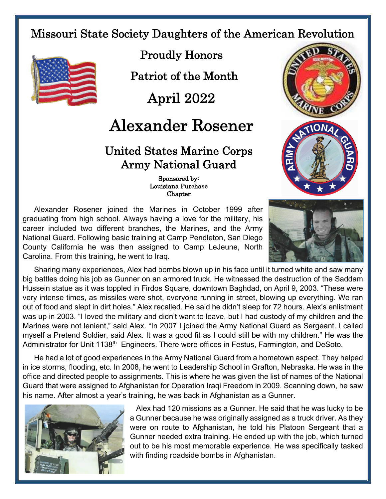Missouri State Society Daughters of the American Revolution



Proudly Honors

Patriot of the Month

April 2022

## Alexander Rosener

## United States Marine Corps Army National Guard

 Sponsored by: Louisiana Purchase **Chapter** 

Alexander Rosener joined the Marines in October 1999 after graduating from high school. Always having a love for the military, his career included two different branches, the Marines, and the Army National Guard. Following basic training at Camp Pendleton, San Diego County California he was then assigned to Camp LeJeune, North Carolina. From this training, he went to Iraq.





Sharing many experiences, Alex had bombs blown up in his face until it turned white and saw many big battles doing his job as Gunner on an armored truck. He witnessed the destruction of the Saddam Hussein statue as it was toppled in Firdos Square, downtown Baghdad, on April 9, 2003. "These were very intense times, as missiles were shot, everyone running in street, blowing up everything. We ran out of food and slept in dirt holes." Alex recalled. He said he didn't sleep for 72 hours. Alex's enlistment was up in 2003. "I loved the military and didn't want to leave, but I had custody of my children and the Marines were not lenient," said Alex. "In 2007 I joined the Army National Guard as Sergeant. I called myself a Pretend Soldier, said Alex. It was a good fit as I could still be with my children." He was the Administrator for Unit 1138<sup>th</sup> Engineers. There were offices in Festus, Farmington, and DeSoto.

He had a lot of good experiences in the Army National Guard from a hometown aspect. They helped in ice storms, flooding, etc. In 2008, he went to Leadership School in Grafton, Nebraska. He was in the office and directed people to assignments. This is where he was given the list of names of the National Guard that were assigned to Afghanistan for Operation Iraqi Freedom in 2009. Scanning down, he saw his name. After almost a year's training, he was back in Afghanistan as a Gunner.



Alex had 120 missions as a Gunner. He said that he was lucky to be a Gunner because he was originally assigned as a truck driver. As they were on route to Afghanistan, he told his Platoon Sergeant that a Gunner needed extra training. He ended up with the job, which turned out to be his most memorable experience. He was specifically tasked with finding roadside bombs in Afghanistan.